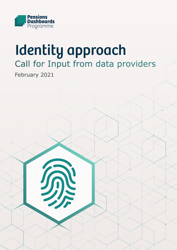

# Call for Input from data providers Identity approach

February 2021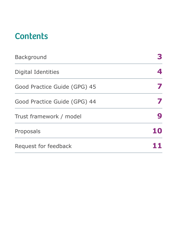# **Contents**

| <b>Background</b>            |  |
|------------------------------|--|
| Digital Identities           |  |
| Good Practice Guide (GPG) 45 |  |
| Good Practice Guide (GPG) 44 |  |
| Trust framework / model      |  |
| Proposals                    |  |
| Request for feedback         |  |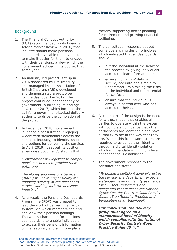# **Background**

- 1. The Financial Conduct Authority (FCA) recommended, in its Financial Advice Market Review in 2016, that industry should make pensions dashboards available to individuals to make it easier for them to engage with their pensions, a view which the government echoed in its budget that same year.
- 2. An industry-led project, set up in 2016 sponsored by HM Treasury and managed by the Association of British Insurers (ABI), developed and demonstrated a prototype for the dashboard in 2017. The project continued independently of government, publishing its findings in October 2017, which included the call for a government-backed delivery authority to drive the completion of the project.
- 3. In December 2018, government launched a consultation, engaging widely with stakeholders across the pensions industry, to identify issues and options for delivering the service. In April 2019, it set out its position in a response document<sup>1</sup>, stating that:

"Government will legislate to compel pension schemes to provide their data; and

The Money and Pensions Service (MaPS) will have responsibility for enabling delivery of the dashboard service working with the pensions industry."

4. As a result, the Pensions Dashboards Programme (PDP) was created to lead the work of delivering an ecosystem, via which members can find and view their pension holdings. The widely shared aim for pensions dashboards is to enable individuals to access their pensions information online, securely and all in one place,

thereby supporting better planning for retirement and growing financial wellbeing.

- 5. The consultation response set out some overarching design principles, which indicated that all dashboards should:
	- put the individual at the heart of the process by giving individuals access to clear information online
	- ensure individuals' data is secure, accurate and simple to understand - minimising the risks to the individual and the potential for confusion
	- ensure that the individual is always in control over who has access to their data
- 6. At the heart of the design is the need for a trust model that enables all parties to operate within the system with complete confidence that other participants are identifiable and have authority to act in the way that they are. Within this framework, users are required to evidence their identity through a digital identity solution, which will mandate a minimum level of confidence is established.
- 7. The government response to the consultations states:

"To enable a sufficient level of trust in the service, the department expects a standard level of identity assurance for all users (individuals and delegates) that satisfies the National Cyber Security Centre's Good Practice Guide 45 on 'Identity Proofing and Verification of an Individual'.

**Our conclusion: the delivery group must agree on a standardised level of identity which complies with the National Cyber Security Centre's Good Practice Guide 452&3 ."**

<sup>1</sup> [Pension Dashboards government response to consultation](https://assets.publishing.service.gov.uk/government/uploads/system/uploads/attachment_data/file/792303/government-response-pensions-dashboards.pdf)

<sup>&</sup>lt;sup>2</sup> [Good Practice Guide 45 - identity-proofing-and-verification-of-an-individual](https://www.gov.uk/government/publications/identity-proofing-and-verification-of-an-individual)

<sup>3</sup> Good Practice Guidelines are published by Government Digital Services (GDS)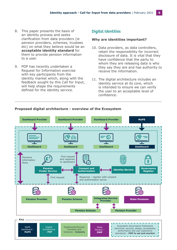- 8. This paper presents the basis of an identity process and seeks clarification from data providers (ie pension providers, schemes, trustees etc) on what they believe would be an **acceptable identity standard** for them to provide pension information to a user.
- 9. PDP has recently undertaken a Request for Information exercise with key participants from the identity market which, along with the feedback sought by this Call for Input, will help shape the requirements defined for the identity service.

### Digital Identities

#### **Why are identities important?**

- 10. Data providers, as data controllers, retain the responsibility for incorrect disclosure of data. It is vital that they have confidence that the party to whom they are releasing data is who they say they are and has authority to receive the information.
- 11. The digital architecture includes an identity service at its core, which is intended to ensure we can verify the user to an acceptable level of confidence.



#### **Proposed digital architecture - overview of the Ecosystem**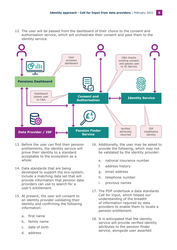12. The user will be passed from the dashboard of their choice to the consent and authorisation service, which will orchestrate their consent and pass them to the identity service.



- 13. Before the user can find their pension entitlements, the identity service will prove their identity to a standard acceptable to the ecosystem as a whole.
- 14. Data standards that are being developed to support the eco-system, include a matching data set that will provide information that pension data providers can use to search for a user's entitlement.
- 15. At present, the user will consent to an identity provider validating their identity and confirming the following information:
	- a. first name
	- b. family name
	- c. date of birth
	- d. address
- 16. Additionally, the user may be asked to provide the following, which may not be validated by the identity provider:
	- e. national insurance number
	- f. address history
	- g. email address
	- h. telephone number
	- i. previous names
- 17. The PDP undertook a data standards Call for Input, which helped our understanding of the breadth of information required by data providers to enable them to locate a pension entitlement.
- 18. It is anticipated that the identity service will provide verified identity attributes to the pension finder service, alongside user asserted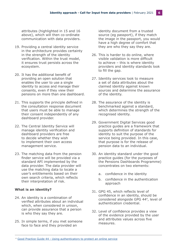attributes (highlighted in 15 and 16 above), which will then co-ordinate communication with data providers.

- 19. Providing a central identity service in the architecture provides certainty in the strength of the identity verification. Within the trust model, it ensures trust persists across the ecosystem.
- 20. It has the additional benefit of providing an open solution that enables the user to use a single identity to access and manage their consents, even if they view their pensions on more than one dashboard.
- 21. This supports the principle defined in the consultation response document that users must be able to manage their consent independently of any dashboard provider.
- 22. The Central Identity Service will manage identity verification and dashboard providers are free to decide whether they wish to implement their own access management service.
- 23. The matching data from the pension finder service will be provided via a standard API implemented by the data provider. The data provider will use the matching data to locate a user's entitlements based on their own search criteria, which reflects their interpretation of risk.

#### **What is an identity?**

- 24. An identity is a combination of verified attributes about an individual which, when considered in unison, can provide assurance that a person is who they say they are.
- 25. In simple terms, if you met someone face to face and they provided an

identity document from a trusted source (eg passport), if they match the image in the passport, you would have a high degree of comfort that they are who they say they are.

- 26. This is harder to do online, where visible validation is more difficult to achieve – this is where identity providers and identity standards look to fill the gap.
- 27. Identity services look to measure a set of data attributes about the claimed identity against known sources and determine the assurance of the identity.
- 28. The assurance of the identity is benchmarked against a standard, which determines the strength of the recognised identity.
- 29. Government Digital Services good practice guides are a framework that supports definition of standards for identity to suit the purpose of the service being provided. In this case, that purpose is for the release of pension data to an individual.
- 30. An identity standard under the good practice guides (for the purposes of the Pensions Dashboards Programme) concentrates on two elements:
	- a. confidence in the identity
	- b. confidence in the authentication approach
- 31. GPG 45, which reflects level of confidence in an identity, should be considered alongside GPG 444, level of authentication credential.
- 32. Level of confidence provides a view of the evidence provided by the user and attributes values across five measures.

<sup>4</sup> [Good Practice Guide 44 - Using authenticators to protect an online service](https://www.gov.uk/government/publications/authentication-credentials-for-online-government-services)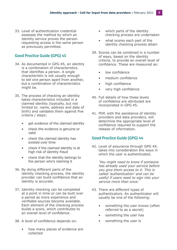33. Level of authentication credential assesses the method by which an identity service proves the person requesting access is the same person as previously permitted.

# Good Practice Guide (GPG) 45

- 34. As documented in GPG 45, an identity is a combination of characteristics that identifies a person. A single characteristic is not usually enough to tell one person apart from another, but a combination of characteristics might be.
- 35. The process of checking an identity takes characteristics included in a claimed identity (typically, but not limited to: name, address and date of birth) and validates them against five criteria / steps:
	- get evidence of the claimed identity
	- check the evidence is genuine or valid
	- check the claimed identity has existed over time
	- check if the claimed identity is at high risk of identity fraud
	- check that the identity belongs to the person who's claiming it
- 36. By doing different parts of the identity checking process, the identity provider can build confidence that an identity is accurate.
- 37. Identity checking can be completed at a point in time or can be built over a period as more experience and verifiable sources become available. Each element of the checking process builds a score, which contributes to an overall level of confidence.
- 38. A level of confidence depends on:
	- how many pieces of evidence are collected
- which parts of the identity checking process are undertaken
- what scores each part of the identity checking process attain
- 39. Scores can be combined in a number of ways, based on the identity criteria, to provide an overall level of confidence. These are measured as:
	- low confidence
	- medium confidence
	- high confidence
	- very high confidence
- 40. Full details of how these levels of confidence are attributed are incorporated in GPG 45.
- 41. PDP, with the assistance of identity providers and data providers, will determine the appropriate level of confidence required to support the release of information.

#### Good Practice Guide (GPG) 44

42. Level of assurance through GPG 44, takes into consideration the ways in which the user is authenticated.

> 'You might need to know if someone has already used your service before you give them access to it. This is called 'authentication' and can be useful if users need to sign into your service more than once.'

- 43. There are different types of authenticators. An authenticator will usually be one of the following:
	- something the user knows (often referred to as a secret)
	- something the user has
	- something the user is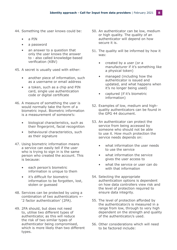- 44. Something the user knows could be:
	- a PIN
	- a password
	- an answer to a question that only the user knows the answer to - also called knowledge-based verification (KBV)
- 45. A secret is usually used with either:
	- another piece of information, such as a username or email address
	- a token, such as a chip and PIN card, single use authentication code or digital certificate
- 46. A measure of something the user is would normally take the form of a biometric input. Biometric information is a measurement of someone's:
	- biological characteristics, such as their fingerprint, facial recognition
	- behavioural characteristics, such as their signature
- 47. Using biometric information means a service can easily tell if the user who is trying to sign in is the same person who created the account. This is because:
	- each person's biometric information is unique to them
	- it's difficult for biometric information to be forgotten, lost, stolen or guessed
- 48. Services can be protected by using a combination of two authenticators =- '2 factor authentication' (2FA).
- 49. 2FA should, but does not need to, utilise two different types of authenticator, as this will reduce the risk of two similar types of authenticator being compromised, which is more likely than two different types.
- 50. An authenticator can be low, medium or high quality. The quality of an authenticator will depend on how secure it is.
- 51. The quality will be informed by how it was:
	- created by a user (or a manufacturer if it's something like a physical token)
	- managed (including how the authenticator is issued and updated, and what happens when it's no longer being used)
	- captured (if it's biometric information)
- 52. Examples of low, medium and highquality authenticators can be found in the GPG 44 document.
- 53. An authenticator can protect the service from being accessed by someone who should not be able to use it. How much protection the service needs depends on:
	- what information the user needs to use the service
	- what information the service gives the user access to
	- what the service or user can do with that information
- 54. Selecting the appropriate authentication options is dependent on how data controllers view risk and the level of protection required to ensure data integrity.
- 55. The level of protection afforded by the authenticator/s is measured in a range from low, through to very high dependent on the strength and quality of the authenticator/s used.
- 56. Other considerations which will need to be factored include: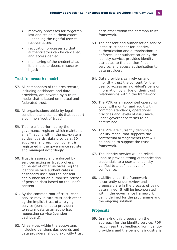- recovery processes for forgotten, lost and stolen authenticators – enabling the rightful user to recover access
- revocation processes so that authenticators can be cancelled, and access denied
- monitoring of the credential as it is in use to detect misuse or hijack

# Trust framework / model

- 57. All components of the architecture, including dashboard and data providers, are covered by a trust model that is based on mutual and federated trust.
- 58. All organisations abide by legal conditions and standards that support a common 'root of trust'.
- 59. This role is performed by the governance register which maintains all affiliations within the eco-system eg dashboards, data providers, ID suppliers, and each component is registered in the governance register and managed accordingly.
- 60. Trust is assured and enforced by services acting as trust brokers, on behalf of other services: eg the identity service authenticates a dashboard user, and the consent and authorisation authorises release of pension data based on the user's consent.
- 61. By the common root of trust, each service may in turn trust each other, eg the implicit trust of a relying service (pension data provider) to return data to an authorised requesting service (pension dashboard).
- 62. All services within the ecosystem, including pensions dashboards and data providers, should explicitly trust

each other within the common trust framework.

- 63. The consent and authorisation service is the trust anchor for identity, authentication and authorisation: it enforces user authentication by the identity service, provides identity attributes to the pension finder service, and access authorisation to data providers.
- 64. Data providers can rely on and implicitly trust the consent for the user to access an individual's pension information by virtue of their trust relationships within the framework.
- 65. The PDP, or an appointed operating body, will monitor and audit with common standards, operational practices and levels of assurance, under governance terms to be determined.
- 66. The PDP are currently defining a liability model that supports the contractual arrangements that will be applied to support the trust framework.
- 67. The identity service will be relied upon to provide strong authentication credentials to a user and identity verified to a defined level of confidence.
- 68. Liability under the framework is currently under review and proposals are in the process of being determined. It will be incorporated within the governance framework being defined for the programme and the ongoing solution.

#### Proposals

69. In making this proposal on the approach for the identity service, PDP recognises that feedback from identity providers and the pensions industry is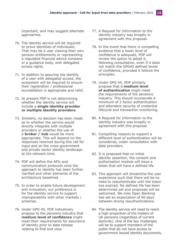important, and may suggest alternate approaches.

- 70. The identity service will be required to prove identities of individuals. That may be a user viewing their own pension entitlements or representing a regulated financial advice company or a guidance body, with delegated access rights.
- 71. In addition to assuring the identity of a user with delegated access, the ecosystem will be required to ensure their registration / professional accreditation is appropriate and valid.
- 72. At present PDP is not determining whether the identity service will include a **single identity provider or multiple identity providers**.
- 73. Similarly, no decision has been made as to whether the service would directly integrate with multiple providers or whether the use of a **broker / hub** would be more appropriate. This will depend on the responses received during this call for input and on the cross government and private sector identity landscape at the relevant time.
- 74. PDP will define the APIs and communication protocols once the approach to identity has been further clarified and other elements of the architecture baselined.
- 75. In order to enable future development and innovation, our preference is for the identity service to support interoperability with other markets / schemes.
- 76. Under GPG 45, PDP indicatively propose to the pensions industry that **medium level of confidence** might meet their requirements for assurance of identity prior to data release relating to find and view.
- 77. A Request for Information to the identity industry was broadly in agreement with this proposal.
- 78. In the event that there is compelling evidence that a lower level of confidence is adequate, PDP will review the option to adopt it, following consultation, even if it does not match the GPG45 defined levels of confidence, provided it follows the principles.
- 79. Under GPG 44, PDP similarly propose that a **medium level of authentication** might meet the requirements of the pensions industry. This should incorporate a minimum of 2 factor authentication and attendant security of credential lifecycle and transaction monitoring.
- 80. A Request for Information to the identity industry was broadly in agreement with this proposal.
- 81. Compelling reasons to support a different level of authentication will be considered, under consultation with data providers.
- 82. It is proposed that on initial identity assertion, the consent and authorisation module will issue a token that will have a defined life.
- 83. This approach will streamline the user experience such that there will be no need to reauthenticate until the token has expired. No defined life has been determined yet and proposals will be welcomed. We note Open Banking has set an expectation of 90 days between strong reauthentications.
- 84. The identity service will need to reach a high proportion of the holders of UK pensions (regardless of current domicile). One of the key challenges will be to support members of the public that do not have access to government issued identity documents,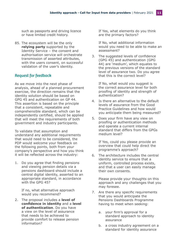such as passports and driving licence or have limited credit history.

85. The ecosystem will be the only **relying party** supported by the Identity Service – the consent and authorisation service will orchestrate transmission of asserted attributes, with the users consent, on successful validation of the user's identity.

# Request for feedback

As we move into the next phase of analysis, ahead of a planned procurement exercise, the direction remains that the identity solution should be based on GPG 45 and authentication on GP 44. This assertion is based on the principle that a consistent, repeatable and comprehensible standard, which can be independently certified, should be applied that will meet the requirements of both government and industry participants.

To validate that assumption and understand any additional requirements that would need to be considered, the PDP would welcome your feedback on the following points, both from your company's perspective and how you think it will be reflected across the industry:

1. Do you agree that finding pensions and viewing pension details via a pensions dashboard should include a central digital identity, asserted to an appropriate standard, in accordance with the GPG 45?

If no, what alternative approach would you recommend?

2. The proposal includes a **level of confidence in identity** and a **level of authentication**. Do you have a view on the level of assurance that needs to be achieved to provide comfort to release pension information?

If Yes, what elements do you think are the primary factors?

If No, what additional information would you need to be able to make an assessment?

3. The suggested levels of confidence (GPG 45) and authentication (GPG 44) are 'medium', which equates to the previous versions of the standard level of assurance two. Do you agree that this is the correct level?

If No, what would you suggest is the correct assurance level for both proofing of identity and strength of authentication?

- 4. Is there an alternative to the default levels of assurance from the Good Practice Guidelines and how would you anticipate them being measured?
- 5. Does your firm have any view on proofing or authentication methods and operate a current internal standard that differs from the GPGs medium level?

If Yes, could you please provide an overview that could help direct the programme's approach?

6. The architecture includes the central identity service to ensure that a uniform, controlled process exists, and that a user can easily manage their own consents.

Please provide your thoughts on this approach and any challenges that you may foresee.

- 7. Are there any specific requirements that you would anticipate the Pensions Dashboards Programme having to meet when seeking:
	- a. your firm's approval for a standard approach to identity assurance
	- b. a cross industry agreement on a standard for identity assurance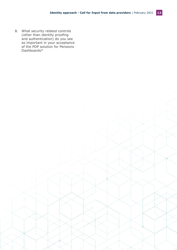8. What security related controls (other than identity proofing and authentication) do you see as important in your acceptance of the PDP solution for Pensions Dashboards?